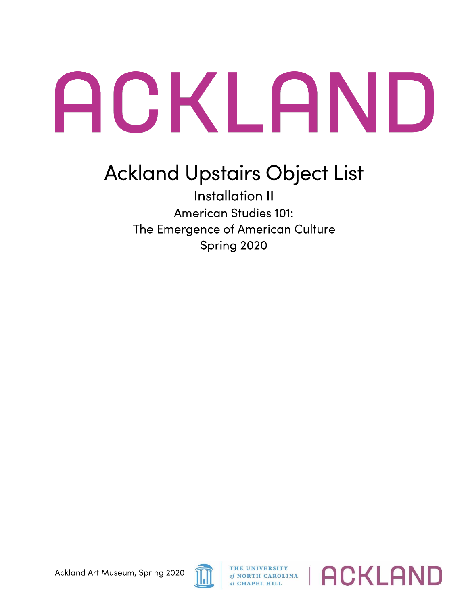## ACKLAND

## Ackland Upstairs Object List

Installation II American Studies 101: The Emergence of American Culture Spring 2020



*of* **NORTH CAROLINA** 

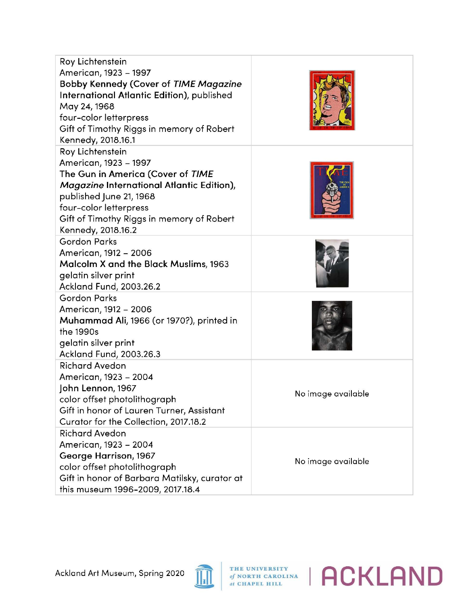| Roy Lichtenstein<br>American, 1923 - 1997<br><b>Bobby Kennedy (Cover of TIME Magazine</b><br>International Atlantic Edition), published<br>May 24, 1968<br>four-color letterpress<br>Gift of Timothy Riggs in memory of Robert<br>Kennedy, 2018.16.1 |                    |
|------------------------------------------------------------------------------------------------------------------------------------------------------------------------------------------------------------------------------------------------------|--------------------|
| Roy Lichtenstein<br>American, 1923 - 1997<br>The Gun in America (Cover of TIME<br>Magazine International Atlantic Edition),<br>published June 21, 1968<br>four-color letterpress<br>Gift of Timothy Riggs in memory of Robert<br>Kennedy, 2018.16.2  |                    |
| <b>Gordon Parks</b><br>American, 1912 - 2006<br>Malcolm X and the Black Muslims, 1963<br>gelatin silver print<br>Ackland Fund, 2003.26.2                                                                                                             |                    |
| <b>Gordon Parks</b><br>American, 1912 - 2006<br>Muhammad Ali, 1966 (or 1970?), printed in<br>the 1990s<br>gelatin silver print<br>Ackland Fund, 2003.26.3                                                                                            |                    |
| <b>Richard Avedon</b><br>American, 1923 – 2004<br>John Lennon, 1967<br>color offset photolithograph<br>Gift in honor of Lauren Turner, Assistant<br>Curator for the Collection, 2017.18.2                                                            | No image available |
| <b>Richard Avedon</b><br>American, 1923 - 2004<br>George Harrison, 1967<br>color offset photolithograph<br>Gift in honor of Barbara Matilsky, curator at<br>this museum 1996-2009, 2017.18.4                                                         | No image available |